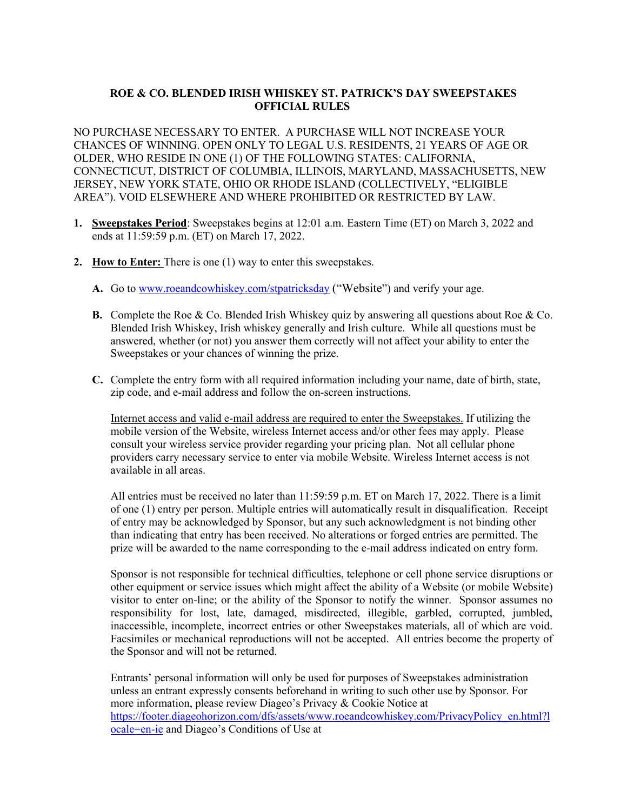## **ROE & CO. BLENDED IRISH WHISKEY ST. PATRICK'S DAY SWEEPSTAKES OFFICIAL RULES**

NO PURCHASE NECESSARY TO ENTER. A PURCHASE WILL NOT INCREASE YOUR CHANCES OF WINNING. OPEN ONLY TO LEGAL U.S. RESIDENTS, 21 YEARS OF AGE OR OLDER, WHO RESIDE IN ONE (1) OF THE FOLLOWING STATES: CALIFORNIA, CONNECTICUT, DISTRICT OF COLUMBIA, ILLINOIS, MARYLAND, MASSACHUSETTS, NEW JERSEY, NEW YORK STATE, OHIO OR RHODE ISLAND (COLLECTIVELY, "ELIGIBLE AREA"). VOID ELSEWHERE AND WHERE PROHIBITED OR RESTRICTED BY LAW.

- **1. Sweepstakes Period**: Sweepstakes begins at 12:01 a.m. Eastern Time (ET) on March 3, 2022 and ends at 11:59:59 p.m. (ET) on March 17, 2022.
- **2. How to Enter:** There is one (1) way to enter this sweepstakes.
	- **A.** Go to www.roeandcowhiskey.com/stpatricksday ("Website") and verify your age.
	- **B.** Complete the Roe & Co. Blended Irish Whiskey quiz by answering all questions about Roe & Co. Blended Irish Whiskey, Irish whiskey generally and Irish culture. While all questions must be answered, whether (or not) you answer them correctly will not affect your ability to enter the Sweepstakes or your chances of winning the prize.
	- **C.** Complete the entry form with all required information including your name, date of birth, state, zip code, and e-mail address and follow the on-screen instructions.

Internet access and valid e-mail address are required to enter the Sweepstakes. If utilizing the mobile version of the Website, wireless Internet access and/or other fees may apply. Please consult your wireless service provider regarding your pricing plan. Not all cellular phone providers carry necessary service to enter via mobile Website. Wireless Internet access is not available in all areas.

All entries must be received no later than 11:59:59 p.m. ET on March 17, 2022. There is a limit of one (1) entry per person. Multiple entries will automatically result in disqualification. Receipt of entry may be acknowledged by Sponsor, but any such acknowledgment is not binding other than indicating that entry has been received. No alterations or forged entries are permitted. The prize will be awarded to the name corresponding to the e-mail address indicated on entry form.

Sponsor is not responsible for technical difficulties, telephone or cell phone service disruptions or other equipment or service issues which might affect the ability of a Website (or mobile Website) visitor to enter on-line; or the ability of the Sponsor to notify the winner. Sponsor assumes no responsibility for lost, late, damaged, misdirected, illegible, garbled, corrupted, jumbled, inaccessible, incomplete, incorrect entries or other Sweepstakes materials, all of which are void. Facsimiles or mechanical reproductions will not be accepted. All entries become the property of the Sponsor and will not be returned.

Entrants' personal information will only be used for purposes of Sweepstakes administration unless an entrant expressly consents beforehand in writing to such other use by Sponsor. For more information, please review Diageo's Privacy & Cookie Notice at https://footer.diageohorizon.com/dfs/assets/www.roeandcowhiskey.com/PrivacyPolicy\_en.html?l ocale=en-ie and Diageo's Conditions of Use at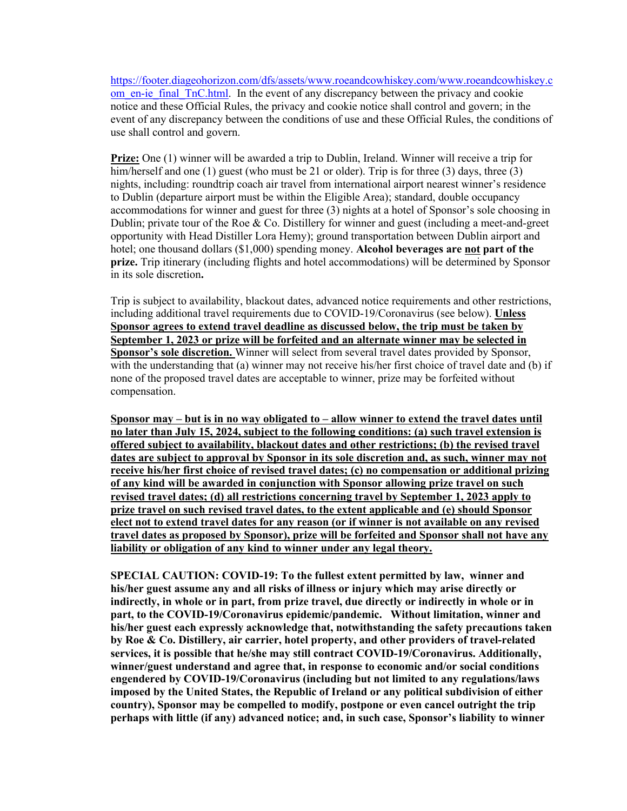https://footer.diageohorizon.com/dfs/assets/www.roeandcowhiskey.com/www.roeandcowhiskey.c om en-ie\_final\_TnC.html. In the event of any discrepancy between the privacy and cookie notice and these Official Rules, the privacy and cookie notice shall control and govern; in the event of any discrepancy between the conditions of use and these Official Rules, the conditions of use shall control and govern.

**Prize:** One (1) winner will be awarded a trip to Dublin, Ireland. Winner will receive a trip for him/herself and one (1) guest (who must be 21 or older). Trip is for three (3) days, three (3) nights, including: roundtrip coach air travel from international airport nearest winner's residence to Dublin (departure airport must be within the Eligible Area); standard, double occupancy accommodations for winner and guest for three (3) nights at a hotel of Sponsor's sole choosing in Dublin; private tour of the Roe  $& Co$ . Distillery for winner and guest (including a meet-and-greet opportunity with Head Distiller Lora Hemy); ground transportation between Dublin airport and hotel; one thousand dollars (\$1,000) spending money. **Alcohol beverages are not part of the prize.** Trip itinerary (including flights and hotel accommodations) will be determined by Sponsor in its sole discretion**.**

Trip is subject to availability, blackout dates, advanced notice requirements and other restrictions, including additional travel requirements due to COVID-19/Coronavirus (see below). **Unless Sponsor agrees to extend travel deadline as discussed below, the trip must be taken by September 1, 2023 or prize will be forfeited and an alternate winner may be selected in Sponsor's sole discretion.** Winner will select from several travel dates provided by Sponsor, with the understanding that (a) winner may not receive his/her first choice of travel date and (b) if none of the proposed travel dates are acceptable to winner, prize may be forfeited without compensation.

**Sponsor may – but is in no way obligated to – allow winner to extend the travel dates until no later than July 15, 2024, subject to the following conditions: (a) such travel extension is offered subject to availability, blackout dates and other restrictions; (b) the revised travel dates are subject to approval by Sponsor in its sole discretion and, as such, winner may not receive his/her first choice of revised travel dates; (c) no compensation or additional prizing of any kind will be awarded in conjunction with Sponsor allowing prize travel on such revised travel dates; (d) all restrictions concerning travel by September 1, 2023 apply to prize travel on such revised travel dates, to the extent applicable and (e) should Sponsor elect not to extend travel dates for any reason (or if winner is not available on any revised travel dates as proposed by Sponsor), prize will be forfeited and Sponsor shall not have any liability or obligation of any kind to winner under any legal theory.**

**SPECIAL CAUTION: COVID-19: To the fullest extent permitted by law, winner and his/her guest assume any and all risks of illness or injury which may arise directly or indirectly, in whole or in part, from prize travel, due directly or indirectly in whole or in part, to the COVID-19/Coronavirus epidemic/pandemic. Without limitation, winner and his/her guest each expressly acknowledge that, notwithstanding the safety precautions taken by Roe & Co. Distillery, air carrier, hotel property, and other providers of travel-related services, it is possible that he/she may still contract COVID-19/Coronavirus. Additionally, winner/guest understand and agree that, in response to economic and/or social conditions engendered by COVID-19/Coronavirus (including but not limited to any regulations/laws imposed by the United States, the Republic of Ireland or any political subdivision of either country), Sponsor may be compelled to modify, postpone or even cancel outright the trip perhaps with little (if any) advanced notice; and, in such case, Sponsor's liability to winner**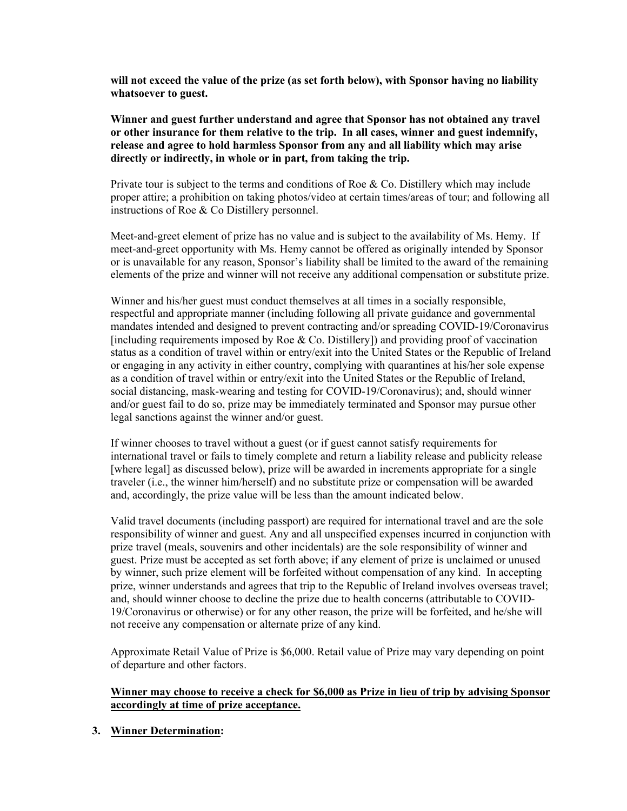**will not exceed the value of the prize (as set forth below), with Sponsor having no liability whatsoever to guest.** 

**Winner and guest further understand and agree that Sponsor has not obtained any travel or other insurance for them relative to the trip. In all cases, winner and guest indemnify, release and agree to hold harmless Sponsor from any and all liability which may arise directly or indirectly, in whole or in part, from taking the trip.**

Private tour is subject to the terms and conditions of Roe  $\&$  Co. Distillery which may include proper attire; a prohibition on taking photos/video at certain times/areas of tour; and following all instructions of Roe & Co Distillery personnel.

Meet-and-greet element of prize has no value and is subject to the availability of Ms. Hemy. If meet-and-greet opportunity with Ms. Hemy cannot be offered as originally intended by Sponsor or is unavailable for any reason, Sponsor's liability shall be limited to the award of the remaining elements of the prize and winner will not receive any additional compensation or substitute prize.

Winner and his/her guest must conduct themselves at all times in a socially responsible, respectful and appropriate manner (including following all private guidance and governmental mandates intended and designed to prevent contracting and/or spreading COVID-19/Coronavirus [including requirements imposed by Roe  $&$  Co. Distillery]) and providing proof of vaccination status as a condition of travel within or entry/exit into the United States or the Republic of Ireland or engaging in any activity in either country, complying with quarantines at his/her sole expense as a condition of travel within or entry/exit into the United States or the Republic of Ireland, social distancing, mask-wearing and testing for COVID-19/Coronavirus); and, should winner and/or guest fail to do so, prize may be immediately terminated and Sponsor may pursue other legal sanctions against the winner and/or guest.

If winner chooses to travel without a guest (or if guest cannot satisfy requirements for international travel or fails to timely complete and return a liability release and publicity release [where legal] as discussed below), prize will be awarded in increments appropriate for a single traveler (i.e., the winner him/herself) and no substitute prize or compensation will be awarded and, accordingly, the prize value will be less than the amount indicated below.

Valid travel documents (including passport) are required for international travel and are the sole responsibility of winner and guest. Any and all unspecified expenses incurred in conjunction with prize travel (meals, souvenirs and other incidentals) are the sole responsibility of winner and guest. Prize must be accepted as set forth above; if any element of prize is unclaimed or unused by winner, such prize element will be forfeited without compensation of any kind. In accepting prize, winner understands and agrees that trip to the Republic of Ireland involves overseas travel; and, should winner choose to decline the prize due to health concerns (attributable to COVID-19/Coronavirus or otherwise) or for any other reason, the prize will be forfeited, and he/she will not receive any compensation or alternate prize of any kind.

Approximate Retail Value of Prize is \$6,000. Retail value of Prize may vary depending on point of departure and other factors.

## **Winner may choose to receive a check for \$6,000 as Prize in lieu of trip by advising Sponsor accordingly at time of prize acceptance.**

**3. Winner Determination:**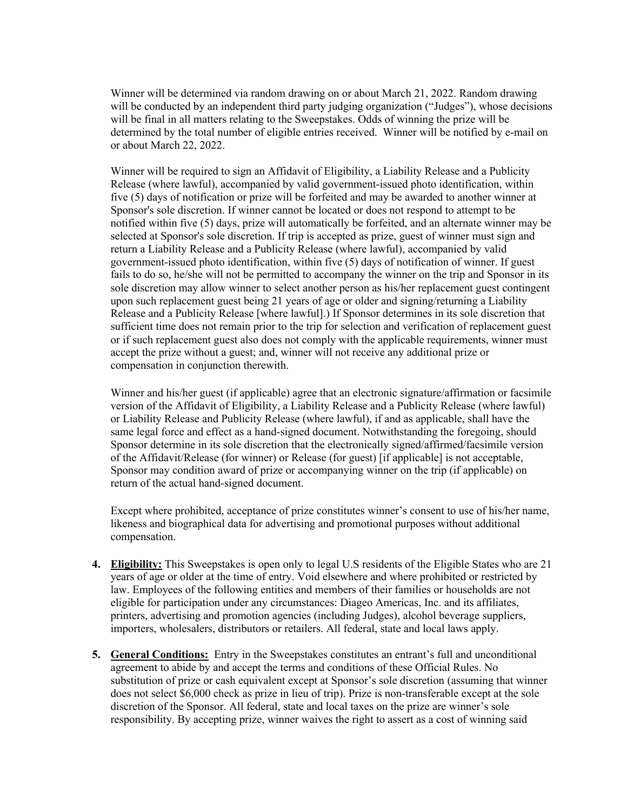Winner will be determined via random drawing on or about March 21, 2022. Random drawing will be conducted by an independent third party judging organization ("Judges"), whose decisions will be final in all matters relating to the Sweepstakes. Odds of winning the prize will be determined by the total number of eligible entries received. Winner will be notified by e-mail on or about March 22, 2022.

Winner will be required to sign an Affidavit of Eligibility, a Liability Release and a Publicity Release (where lawful), accompanied by valid government-issued photo identification, within five (5) days of notification or prize will be forfeited and may be awarded to another winner at Sponsor's sole discretion. If winner cannot be located or does not respond to attempt to be notified within five (5) days, prize will automatically be forfeited, and an alternate winner may be selected at Sponsor's sole discretion. If trip is accepted as prize, guest of winner must sign and return a Liability Release and a Publicity Release (where lawful), accompanied by valid government-issued photo identification, within five (5) days of notification of winner. If guest fails to do so, he/she will not be permitted to accompany the winner on the trip and Sponsor in its sole discretion may allow winner to select another person as his/her replacement guest contingent upon such replacement guest being 21 years of age or older and signing/returning a Liability Release and a Publicity Release [where lawful].) If Sponsor determines in its sole discretion that sufficient time does not remain prior to the trip for selection and verification of replacement guest or if such replacement guest also does not comply with the applicable requirements, winner must accept the prize without a guest; and, winner will not receive any additional prize or compensation in conjunction therewith.

Winner and his/her guest (if applicable) agree that an electronic signature/affirmation or facsimile version of the Affidavit of Eligibility, a Liability Release and a Publicity Release (where lawful) or Liability Release and Publicity Release (where lawful), if and as applicable, shall have the same legal force and effect as a hand-signed document. Notwithstanding the foregoing, should Sponsor determine in its sole discretion that the electronically signed/affirmed/facsimile version of the Affidavit/Release (for winner) or Release (for guest) [if applicable] is not acceptable, Sponsor may condition award of prize or accompanying winner on the trip (if applicable) on return of the actual hand-signed document.

Except where prohibited, acceptance of prize constitutes winner's consent to use of his/her name, likeness and biographical data for advertising and promotional purposes without additional compensation.

- **4. Eligibility:** This Sweepstakes is open only to legal U.S residents of the Eligible States who are 21 years of age or older at the time of entry. Void elsewhere and where prohibited or restricted by law. Employees of the following entities and members of their families or households are not eligible for participation under any circumstances: Diageo Americas, Inc. and its affiliates, printers, advertising and promotion agencies (including Judges), alcohol beverage suppliers, importers, wholesalers, distributors or retailers. All federal, state and local laws apply.
- **5. General Conditions:** Entry in the Sweepstakes constitutes an entrant's full and unconditional agreement to abide by and accept the terms and conditions of these Official Rules. No substitution of prize or cash equivalent except at Sponsor's sole discretion (assuming that winner does not select \$6,000 check as prize in lieu of trip). Prize is non-transferable except at the sole discretion of the Sponsor. All federal, state and local taxes on the prize are winner's sole responsibility. By accepting prize, winner waives the right to assert as a cost of winning said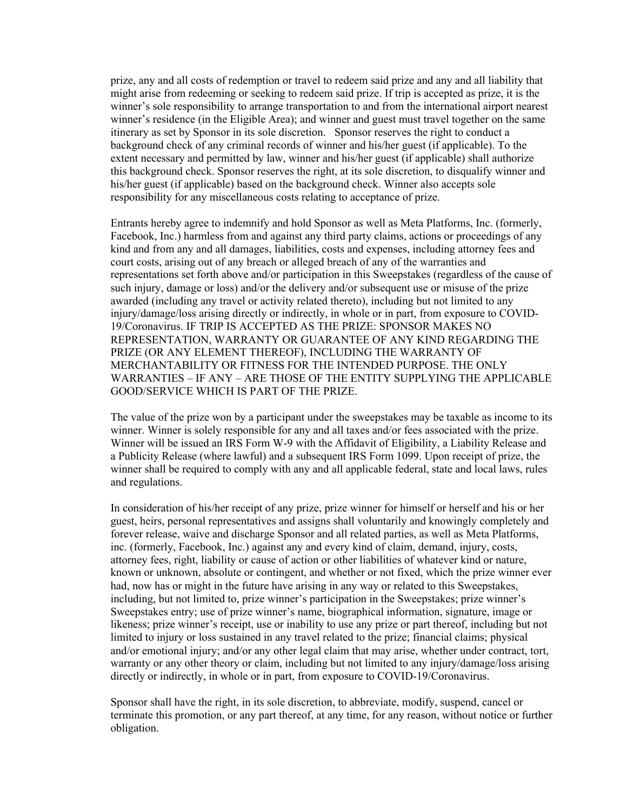prize, any and all costs of redemption or travel to redeem said prize and any and all liability that might arise from redeeming or seeking to redeem said prize. If trip is accepted as prize, it is the winner's sole responsibility to arrange transportation to and from the international airport nearest winner's residence (in the Eligible Area); and winner and guest must travel together on the same itinerary as set by Sponsor in its sole discretion. Sponsor reserves the right to conduct a background check of any criminal records of winner and his/her guest (if applicable). To the extent necessary and permitted by law, winner and his/her guest (if applicable) shall authorize this background check. Sponsor reserves the right, at its sole discretion, to disqualify winner and his/her guest (if applicable) based on the background check. Winner also accepts sole responsibility for any miscellaneous costs relating to acceptance of prize.

Entrants hereby agree to indemnify and hold Sponsor as well as Meta Platforms, Inc. (formerly, Facebook, Inc.) harmless from and against any third party claims, actions or proceedings of any kind and from any and all damages, liabilities, costs and expenses, including attorney fees and court costs, arising out of any breach or alleged breach of any of the warranties and representations set forth above and/or participation in this Sweepstakes (regardless of the cause of such injury, damage or loss) and/or the delivery and/or subsequent use or misuse of the prize awarded (including any travel or activity related thereto), including but not limited to any injury/damage/loss arising directly or indirectly, in whole or in part, from exposure to COVID-19/Coronavirus. IF TRIP IS ACCEPTED AS THE PRIZE: SPONSOR MAKES NO REPRESENTATION, WARRANTY OR GUARANTEE OF ANY KIND REGARDING THE PRIZE (OR ANY ELEMENT THEREOF), INCLUDING THE WARRANTY OF MERCHANTABILITY OR FITNESS FOR THE INTENDED PURPOSE. THE ONLY WARRANTIES – IF ANY – ARE THOSE OF THE ENTITY SUPPLYING THE APPLICABLE GOOD/SERVICE WHICH IS PART OF THE PRIZE.

The value of the prize won by a participant under the sweepstakes may be taxable as income to its winner. Winner is solely responsible for any and all taxes and/or fees associated with the prize. Winner will be issued an IRS Form W-9 with the Affidavit of Eligibility, a Liability Release and a Publicity Release (where lawful) and a subsequent IRS Form 1099. Upon receipt of prize, the winner shall be required to comply with any and all applicable federal, state and local laws, rules and regulations.

In consideration of his/her receipt of any prize, prize winner for himself or herself and his or her guest, heirs, personal representatives and assigns shall voluntarily and knowingly completely and forever release, waive and discharge Sponsor and all related parties, as well as Meta Platforms, inc. (formerly, Facebook, Inc.) against any and every kind of claim, demand, injury, costs, attorney fees, right, liability or cause of action or other liabilities of whatever kind or nature, known or unknown, absolute or contingent, and whether or not fixed, which the prize winner ever had, now has or might in the future have arising in any way or related to this Sweepstakes, including, but not limited to, prize winner's participation in the Sweepstakes; prize winner's Sweepstakes entry; use of prize winner's name, biographical information, signature, image or likeness; prize winner's receipt, use or inability to use any prize or part thereof, including but not limited to injury or loss sustained in any travel related to the prize; financial claims; physical and/or emotional injury; and/or any other legal claim that may arise, whether under contract, tort, warranty or any other theory or claim, including but not limited to any injury/damage/loss arising directly or indirectly, in whole or in part, from exposure to COVID-19/Coronavirus.

Sponsor shall have the right, in its sole discretion, to abbreviate, modify, suspend, cancel or terminate this promotion, or any part thereof, at any time, for any reason, without notice or further obligation.